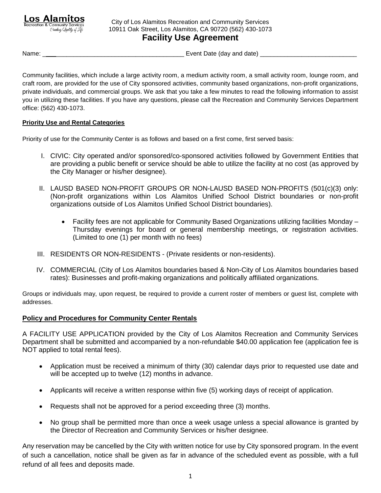Los Alam Recreation & Community Services Creating Quality of Life

City of Los Alamitos Recreation and Community Services 10911 Oak Street, Los Alamitos, CA 90720 (562) 430-1073 **Facility Use Agreement**

Name: \_ \_\_\_\_\_\_\_\_\_\_\_\_\_\_\_\_\_\_\_\_\_\_\_\_\_\_\_\_\_\_\_\_\_\_\_\_\_ Event Date (day and date) \_\_\_\_\_\_\_\_\_\_\_\_\_\_\_\_\_\_\_\_\_\_\_\_\_\_\_\_

Community facilities, which include a large activity room, a medium activity room, a small activity room, lounge room, and craft room, are provided for the use of City sponsored activities, community based organizations, non-profit organizations, private individuals, and commercial groups. We ask that you take a few minutes to read the following information to assist you in utilizing these facilities. If you have any questions, please call the Recreation and Community Services Department office: (562) 430-1073.

# **Priority Use and Rental Categories**

Priority of use for the Community Center is as follows and based on a first come, first served basis:

- I. CIVIC: City operated and/or sponsored/co-sponsored activities followed by Government Entities that are providing a public benefit or service should be able to utilize the facility at no cost (as approved by the City Manager or his/her designee).
- II. LAUSD BASED NON-PROFIT GROUPS OR NON-LAUSD BASED NON-PROFITS (501(c)(3) only: (Non-profit organizations within Los Alamitos Unified School District boundaries or non-profit organizations outside of Los Alamitos Unified School District boundaries).
	- Facility fees are not applicable for Community Based Organizations utilizing facilities Monday Thursday evenings for board or general membership meetings, or registration activities. (Limited to one (1) per month with no fees)
- III. RESIDENTS OR NON-RESIDENTS (Private residents or non-residents).
- IV. COMMERCIAL (City of Los Alamitos boundaries based & Non-City of Los Alamitos boundaries based rates): Businesses and profit-making organizations and politically affiliated organizations.

Groups or individuals may, upon request, be required to provide a current roster of members or guest list, complete with addresses.

# **Policy and Procedures for Community Center Rentals**

A FACILITY USE APPLICATION provided by the City of Los Alamitos Recreation and Community Services Department shall be submitted and accompanied by a non-refundable \$40.00 application fee (application fee is NOT applied to total rental fees).

- Application must be received a minimum of thirty (30) calendar days prior to requested use date and will be accepted up to twelve (12) months in advance.
- Applicants will receive a written response within five (5) working days of receipt of application.
- Requests shall not be approved for a period exceeding three (3) months.
- No group shall be permitted more than once a week usage unless a special allowance is granted by the Director of Recreation and Community Services or his/her designee.

Any reservation may be cancelled by the City with written notice for use by City sponsored program. In the event of such a cancellation, notice shall be given as far in advance of the scheduled event as possible, with a full refund of all fees and deposits made.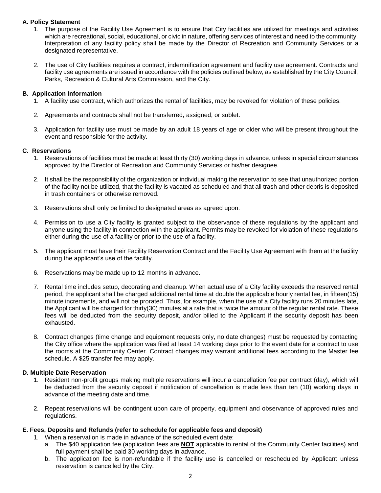## **A. Policy Statement**

- 1. The purpose of the Facility Use Agreement is to ensure that City facilities are utilized for meetings and activities which are recreational, social, educational, or civic in nature, offering services of interest and need to the community. Interpretation of any facility policy shall be made by the Director of Recreation and Community Services or a designated representative.
- 2. The use of City facilities requires a contract, indemnification agreement and facility use agreement. Contracts and facility use agreements are issued in accordance with the policies outlined below, as established by the City Council, Parks, Recreation & Cultural Arts Commission, and the City.

### **B. Application Information**

- 1. A facility use contract, which authorizes the rental of facilities, may be revoked for violation of these policies.
- 2. Agreements and contracts shall not be transferred, assigned, or sublet.
- 3. Application for facility use must be made by an adult 18 years of age or older who will be present throughout the event and responsible for the activity.

### **C. Reservations**

- 1. Reservations of facilities must be made at least thirty (30) working days in advance, unless in special circumstances approved by the Director of Recreation and Community Services or his/her designee.
- 2. It shall be the responsibility of the organization or individual making the reservation to see that unauthorized portion of the facility not be utilized, that the facility is vacated as scheduled and that all trash and other debris is deposited in trash containers or otherwise removed.
- 3. Reservations shall only be limited to designated areas as agreed upon.
- 4. Permission to use a City facility is granted subject to the observance of these regulations by the applicant and anyone using the facility in connection with the applicant. Permits may be revoked for violation of these regulations either during the use of a facility or prior to the use of a facility.
- 5. The applicant must have their Facility Reservation Contract and the Facility Use Agreement with them at the facility during the applicant's use of the facility.
- 6. Reservations may be made up to 12 months in advance.
- 7. Rental time includes setup, decorating and cleanup. When actual use of a City facility exceeds the reserved rental period, the applicant shall be charged additional rental time at double the applicable hourly rental fee, in fifteen(15) minute increments, and will not be prorated. Thus, for example, when the use of a City facility runs 20 minutes late, the Applicant will be charged for thirty(30) minutes at a rate that is twice the amount of the regular rental rate. These fees will be deducted from the security deposit, and/or billed to the Applicant if the security deposit has been exhausted.
- 8. Contract changes (time change and equipment requests only, no date changes) must be requested by contacting the City office where the application was filed at least 14 working days prior to the event date for a contract to use the rooms at the Community Center. Contract changes may warrant additional fees according to the Master fee schedule. A \$25 transfer fee may apply.

### **D. Multiple Date Reservation**

- 1. Resident non-profit groups making multiple reservations will incur a cancellation fee per contract (day), which will be deducted from the security deposit if notification of cancellation is made less than ten (10) working days in advance of the meeting date and time.
- 2. Repeat reservations will be contingent upon care of property, equipment and observance of approved rules and regulations.

## **E. Fees, Deposits and Refunds (refer to schedule for applicable fees and deposit)**

- 1. When a reservation is made in advance of the scheduled event date:
	- a. The \$40 application fee (application fees are **NOT** applicable to rental of the Community Center facilities) and full payment shall be paid 30 working days in advance.
	- b. The application fee is non-refundable if the facility use is cancelled or rescheduled by Applicant unless reservation is cancelled by the City.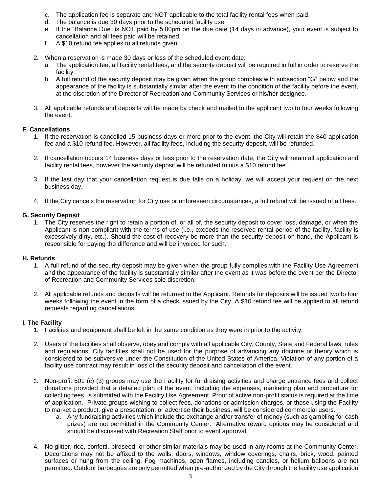- c. The application fee is separate and NOT applicable to the total facility rental fees when paid.
- d. The balance is due 30 days prior to the scheduled facility use
- e. If the "Balance Due" is NOT paid by 5:00pm on the due date (14 days in advance), your event is subject to cancellation and all fees paid will be retained.
- f. A \$10 refund fee applies to all refunds given.
- 2. When a reservation is made 30 days or less of the scheduled event date:
	- a. The application fee, all facility rental fees, and the security deposit will be required in full in order to reserve the facility.
	- b. A full refund of the security deposit may be given when the group complies with subsection "G" below and the appearance of the facility is substantially similar after the event to the condition of the facility before the event, at the discretion of the Director of Recreation and Community Services or his/her designee.
- 3. All applicable refunds and deposits will be made by check and mailed to the applicant two to four weeks following the event.

#### **F. Cancellations**

- 1. If the reservation is cancelled 15 business days or more prior to the event, the City will retain the \$40 application fee and a \$10 refund fee. However, all facility fees, including the security deposit, will be refunded.
- 2. If cancellation occurs 14 business days or less prior to the reservation date, the City will retain all application and facility rental fees, however the security deposit will be refunded minus a \$10 refund fee.
- 3. If the last day that your cancellation request is due falls on a holiday, we will accept your request on the next business day.
- 4. If the City cancels the reservation for City use or unforeseen circumstances, a full refund will be issued of all fees.

### **G. Security Deposit**

1. The City reserves the right to retain a portion of, or all of, the security deposit to cover loss, damage, or when the Applicant is non-compliant with the terms of use (i.e., exceeds the reserved rental period of the facility, facility is excessively dirty, etc.). Should the cost of recovery be more than the security deposit on hand, the Applicant is responsible for paying the difference and will be invoiced for such.

#### **H. Refunds**

- 1. A full refund of the security deposit may be given when the group fully complies with the Facility Use Agreement and the appearance of the facility is substantially similar after the event as it was before the event per the Director of Recreation and Community Services sole discretion.
- 2. All applicable refunds and deposits will be returned to the Applicant. Refunds for deposits will be issued two to four weeks following the event in the form of a check issued by the City. A \$10 refund fee will be applied to all refund requests regarding cancellations.

### **I. The Facility**

- 1. Facilities and equipment shall be left in the same condition as they were in prior to the activity.
- 2. Users of the facilities shall observe, obey and comply with all applicable City, County, State and Federal laws, rules and regulations. City facilities shall not be used for the purpose of advancing any doctrine or theory which is considered to be subversive under the Constitution of the United States of America. Violation of any portion of a facility use contract may result in loss of the security deposit and cancellation of the event.
- 3. Non-profit 501 (c) (3) groups may use the Facility for fundraising activities and charge entrance fees and collect donations provided that a detailed plan of the event, including the expenses, marketing plan and procedure for collecting fees, is submitted with the Facility Use Agreement. Proof of active non-profit status is required at the time of application. Private groups wishing to collect fees, donations or admission charges, or those using the Facility to market a product, give a presentation, or advertise their business, will be considered commercial users.
	- a. Any fundraising activities which include the exchange and/or transfer of money (such as gambling for cash prizes) are not permitted in the Community Center. Alternative reward options may be considered and should be discussed with Recreation Staff prior to event approval.
- 4. No glitter, rice, confetti, birdseed, or other similar materials may be used in any rooms at the Community Center. Decorations may not be affixed to the walls, doors, windows, window coverings, chairs, brick, wood, painted surfaces or hung from the ceiling. Fog machines, open flames, including candles, or helium balloons are not permitted. Outdoor barbeques are only permitted when pre-authorized by the City through the facility use application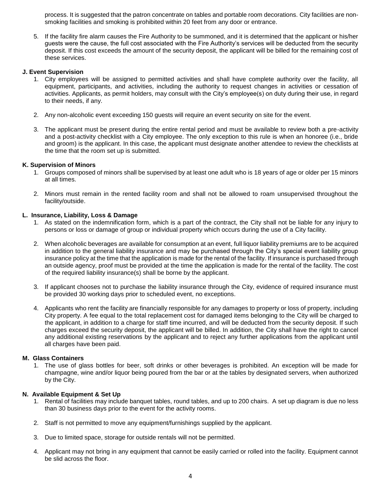process. It is suggested that the patron concentrate on tables and portable room decorations. City facilities are nonsmoking facilities and smoking is prohibited within 20 feet from any door or entrance.

5. If the facility fire alarm causes the Fire Authority to be summoned, and it is determined that the applicant or his/her guests were the cause, the full cost associated with the Fire Authority's services will be deducted from the security deposit. If this cost exceeds the amount of the security deposit, the applicant will be billed for the remaining cost of these services.

#### **J. Event Supervision**

- 1. City employees will be assigned to permitted activities and shall have complete authority over the facility, all equipment, participants, and activities, including the authority to request changes in activities or cessation of activities. Applicants, as permit holders, may consult with the City's employee(s) on duty during their use, in regard to their needs, if any.
- 2. Any non-alcoholic event exceeding 150 guests will require an event security on site for the event.
- 3. The applicant must be present during the entire rental period and must be available to review both a pre-activity and a post-activity checklist with a City employee. The only exception to this rule is when an honoree (i.e., bride and groom) is the applicant. In this case, the applicant must designate another attendee to review the checklists at the time that the room set up is submitted.

### **K. Supervision of Minors**

- 1. Groups composed of minors shall be supervised by at least one adult who is 18 years of age or older per 15 minors at all times.
- 2. Minors must remain in the rented facility room and shall not be allowed to roam unsupervised throughout the facility/outside.

### **L. Insurance, Liability, Loss & Damage**

- 1. As stated on the indemnification form, which is a part of the contract, the City shall not be liable for any injury to persons or loss or damage of group or individual property which occurs during the use of a City facility.
- 2. When alcoholic beverages are available for consumption at an event, full liquor liability premiums are to be acquired in addition to the general liability insurance and may be purchased through the City's special event liability group insurance policy at the time that the application is made for the rental of the facility. If insurance is purchased through an outside agency, proof must be provided at the time the application is made for the rental of the facility. The cost of the required liability insurance(s) shall be borne by the applicant.
- 3. If applicant chooses not to purchase the liability insurance through the City, evidence of required insurance must be provided 30 working days prior to scheduled event, no exceptions.
- 4. Applicants who rent the facility are financially responsible for any damages to property or loss of property, including City property. A fee equal to the total replacement cost for damaged items belonging to the City will be charged to the applicant, in addition to a charge for staff time incurred, and will be deducted from the security deposit. If such charges exceed the security deposit, the applicant will be billed. In addition, the City shall have the right to cancel any additional existing reservations by the applicant and to reject any further applications from the applicant until all charges have been paid.

#### **M. Glass Containers**

1. The use of glass bottles for beer, soft drinks or other beverages is prohibited. An exception will be made for champagne, wine and/or liquor being poured from the bar or at the tables by designated servers, when authorized by the City.

#### **N. Available Equipment & Set Up**

- 1. Rental of facilities may include banquet tables, round tables, and up to 200 chairs. A set up diagram is due no less than 30 business days prior to the event for the activity rooms.
- 2. Staff is not permitted to move any equipment/furnishings supplied by the applicant.
- 3. Due to limited space, storage for outside rentals will not be permitted.
- 4. Applicant may not bring in any equipment that cannot be easily carried or rolled into the facility. Equipment cannot be slid across the floor.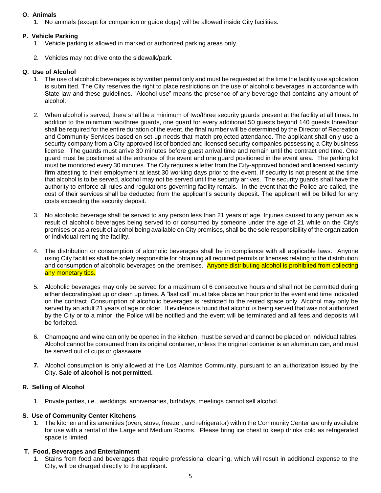# **O. Animals**

1. No animals (except for companion or guide dogs) will be allowed inside City facilities.

# **P. Vehicle Parking**

- 1. Vehicle parking is allowed in marked or authorized parking areas only.
- 2. Vehicles may not drive onto the sidewalk/park.

# **Q. Use of Alcohol**

- 1. The use of alcoholic beverages is by written permit only and must be requested at the time the facility use application is submitted. The City reserves the right to place restrictions on the use of alcoholic beverages in accordance with State law and these guidelines. "Alcohol use" means the presence of any beverage that contains any amount of alcohol.
- 2. When alcohol is served, there shall be a minimum of two/three security guards present at the facility at all times. In addition to the minimum two/three guards, one guard for every additional 50 guests beyond 140 guests three/four shall be required for the entire duration of the event, the final number will be determined by the Director of Recreation and Community Services based on set-up needs that match projected attendance. The applicant shall only use a security company from a City-approved list of bonded and licensed security companies possessing a City business license. The guards must arrive 30 minutes before guest arrival time and remain until the contract end time. One guard must be positioned at the entrance of the event and one guard positioned in the event area. The parking lot must be monitored every 30 minutes. The City requires a letter from the City-approved bonded and licensed security firm attesting to their employment at least 30 working days prior to the event. If security is not present at the time that alcohol is to be served, alcohol may not be served until the security arrives. The security guards shall have the authority to enforce all rules and regulations governing facility rentals. In the event that the Police are called, the cost of their services shall be deducted from the applicant's security deposit. The applicant will be billed for any costs exceeding the security deposit.
- 3. No alcoholic beverage shall be served to any person less than 21 years of age. Injuries caused to any person as a result of alcoholic beverages being served to or consumed by someone under the age of 21 while on the City's premises or as a result of alcohol being available on City premises, shall be the sole responsibility of the organization or individual renting the facility.
- 4. The distribution or consumption of alcoholic beverages shall be in compliance with all applicable laws. Anyone using City facilities shall be solely responsible for obtaining all required permits or licenses relating to the distribution and consumption of alcoholic beverages on the premises. Anyone distributing alcohol is prohibited from collecting any monetary tips.
- 5. Alcoholic beverages may only be served for a maximum of 6 consecutive hours and shall not be permitted during either decorating/set up or clean up times. A "last call" must take place an hour prior to the event end time indicated on the contract. Consumption of alcoholic beverages is restricted to the rented space only. Alcohol may only be served by an adult 21 years of age or older. If evidence is found that alcohol is being served that was not authorized by the City or to a minor, the Police will be notified and the event will be terminated and all fees and deposits will be forfeited.
- 6. Champagne and wine can only be opened in the kitchen, must be served and cannot be placed on individual tables. Alcohol cannot be consumed from its original container, unless the original container is an aluminum can, and must be served out of cups or glassware.
- **7.** Alcohol consumption is only allowed at the Los Alamitos Community, pursuant to an authorization issued by the City**. Sale of alcohol is not permitted.**

# **R. Selling of Alcohol**

1. Private parties, i.e., weddings, anniversaries, birthdays, meetings cannot sell alcohol.

### **S. Use of Community Center Kitchens**

1. The kitchen and its amenities (oven, stove, freezer, and refrigerator) within the Community Center are only available for use with a rental of the Large and Medium Rooms. Please bring ice chest to keep drinks cold as refrigerated space is limited.

### **T. Food, Beverages and Entertainment**

1. Stains from food and beverages that require professional cleaning, which will result in additional expense to the City, will be charged directly to the applicant.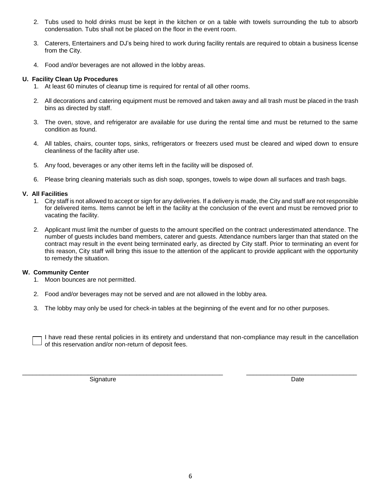- 2. Tubs used to hold drinks must be kept in the kitchen or on a table with towels surrounding the tub to absorb condensation. Tubs shall not be placed on the floor in the event room.
- 3. Caterers, Entertainers and DJ's being hired to work during facility rentals are required to obtain a business license from the City.
- 4. Food and/or beverages are not allowed in the lobby areas.

### **U. Facility Clean Up Procedures**

- 1. At least 60 minutes of cleanup time is required for rental of all other rooms.
- 2. All decorations and catering equipment must be removed and taken away and all trash must be placed in the trash bins as directed by staff.
- 3. The oven, stove, and refrigerator are available for use during the rental time and must be returned to the same condition as found.
- 4. All tables, chairs, counter tops, sinks, refrigerators or freezers used must be cleared and wiped down to ensure cleanliness of the facility after use.
- 5. Any food, beverages or any other items left in the facility will be disposed of.
- 6. Please bring cleaning materials such as dish soap, sponges, towels to wipe down all surfaces and trash bags.

#### **V. All Facilities**

- 1. City staff is not allowed to accept or sign for any deliveries. If a delivery is made, the City and staff are not responsible for delivered items. Items cannot be left in the facility at the conclusion of the event and must be removed prior to vacating the facility.
- 2. Applicant must limit the number of guests to the amount specified on the contract underestimated attendance. The number of guests includes band members, caterer and guests. Attendance numbers larger than that stated on the contract may result in the event being terminated early, as directed by City staff. Prior to terminating an event for this reason, City staff will bring this issue to the attention of the applicant to provide applicant with the opportunity to remedy the situation.

#### **W. Community Center**

- 1. Moon bounces are not permitted.
- 2. Food and/or beverages may not be served and are not allowed in the lobby area.
- 3. The lobby may only be used for check-in tables at the beginning of the event and for no other purposes.

I have read these rental policies in its entirety and understand that non-compliance may result in the cancellation of this reservation and/or non-return of deposit fees.

\_\_\_\_\_\_\_\_\_\_\_\_\_\_\_\_\_\_\_\_\_\_\_\_\_\_\_\_\_\_\_\_\_\_\_\_\_\_\_\_\_\_\_\_\_\_\_\_\_\_\_\_\_\_\_\_\_\_ \_\_\_\_\_\_\_\_\_\_\_\_\_\_\_\_\_\_\_\_\_\_\_\_\_\_\_\_\_\_\_\_

Signature Date **Date**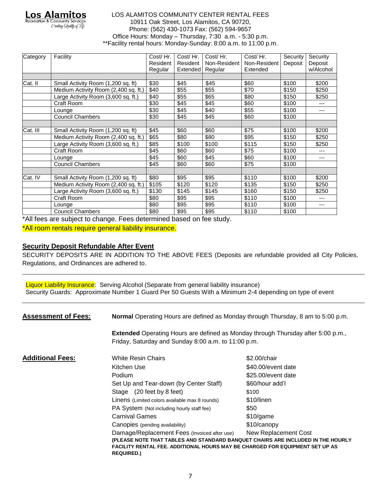Los Alami Creating Quality of S

#### LOS ALAMITOS COMMUNITY CENTER RENTAL FEES 10911 Oak Street, Los Alamitos, CA 90720, Phone: (562) 430-1073 Fax: (562) 594-9657 Office Hours: Monday – Thursday, 7:30 a.m. - 5:30 p.m. \*\*Facility rental hours: Monday-Sunday: 8:00 a.m. to 11:00 p.m.

| Category | Facility                             | Cost/Hr. | Cost/Hr.        | Cost/Hr.     | Cost/Hr.     | Security | Security  |
|----------|--------------------------------------|----------|-----------------|--------------|--------------|----------|-----------|
|          |                                      | Resident | Resident        | Non-Resident | Non-Resident | Deposit  | Deposit   |
|          |                                      | Regular  | <b>Extended</b> | Regular      | Extended     |          | w/Alcohol |
|          |                                      |          |                 |              |              |          |           |
| Cat. II  | Small Activity Room (1,200 sq. ft)   | \$30     | \$45            | \$45         | \$60         | \$100    | \$200     |
|          | Medium Activity Room (2,400 sq. ft.) | \$40     | \$55            | \$55         | \$70         | \$150    | \$250     |
|          | Large Activity Room (3,600 sq. ft.)  | \$40     | \$55            | \$65         | \$80         | \$150    | \$250     |
|          | Craft Room                           | \$30     | \$45            | \$45         | \$60         | \$100    | $---$     |
|          | Lounge                               | \$30     | \$45            | \$40         | \$55         | \$100    | ---       |
|          | <b>Council Chambers</b>              | \$30     | \$45            | \$45         | \$60         | \$100    |           |
|          |                                      |          |                 |              |              |          |           |
| Cat. III | Small Activity Room (1,200 sq. ft)   | \$45     | \$60            | \$60         | \$75         | \$100    | \$200     |
|          | Medium Activity Room (2,400 sq. ft.) | \$65     | \$80            | \$80         | \$95         | \$150    | \$250     |
|          | Large Activity Room (3,600 sq. ft.)  | \$85     | \$100           | \$100        | \$115        | \$150    | \$250     |
|          | Craft Room                           | \$45     | \$60            | \$60         | \$75         | \$100    | ---       |
|          | Lounge                               | \$45     | \$60            | \$45         | \$60         | \$100    | ---       |
|          | <b>Council Chambers</b>              | \$45     | \$60            | \$60         | \$75         | \$100    |           |
|          |                                      |          |                 |              |              |          |           |
| Cat. IV  | Small Activity Room (1,200 sq. ft)   | \$80     | \$95            | \$95         | \$110        | \$100    | \$200     |
|          | Medium Activity Room (2,400 sq. ft.) | \$105    | \$120           | \$120        | \$135        | \$150    | \$250     |
|          | Large Activity Room (3,600 sq. ft.)  | \$130    | \$145           | \$145        | \$160        | \$150    | \$250     |
|          | Craft Room                           | \$80     | \$95            | \$95         | \$110        | \$100    | ---       |
|          | Lounge                               | \$80     | \$95            | \$95         | \$110        | \$100    | ---       |
|          | <b>Council Chambers</b>              | \$80     | \$95            | \$95         | \$110        | \$100    |           |

\*All fees are subject to change. Fees determined based on fee study.

\*All room rentals require general liability insurance.

# **Security Deposit Refundable After Event**

SECURITY DEPOSITS ARE IN ADDITION TO THE ABOVE FEES (Deposits are refundable provided all City Policies, Regulations, and Ordinances are adhered to.

Liquor Liability Insurance: Serving Alcohol (Separate from general liability insurance) Security Guards: Approximate Number 1 Guard Per 50 Guests With a Minimum 2-4 depending on type of event

**Assessment of Fees: Normal** Operating Hours are defined as Monday through Thursday, 8 am to 5:00 p.m. **Extended** Operating Hours are defined as Monday through Thursday after 5:00 p.m., Friday, Saturday and Sunday 8:00 a.m. to 11:00 p.m. **Additional Fees:** White Resin Chairs **1988 1200** White Resin Chairs **\$2.00**/chair Kitchen Use  $$40.00/event$  date Podium **1990 1991 1992 1993 1993 1993 1993 1993 1993 1994 1995 1996 1995 1996 1995 1996 1996 1996 1996 1996 1996 1996 1996 1996 1996 1996 1996 1996 1996 1996 1996** Set Up and Tear-down (by Center Staff) \$60/hour add'l Stage (20 feet by 8 feet) \$100 Linens (Limited colors available max 8 rounds) \$10/linen PA System (Not including hourly staff fee) \$50 Carnival Games  $$10/game$ Canopies (pending availability)  $$10/canopy$ Damage/Replacement Fees (Invoiced after use) New Replacement Cost **(PLEASE NOTE THAT TABLES AND STANDARD BANQUET CHAIRS ARE INCLUDED IN THE HOURLY FACILITY RENTAL FEE. ADDITIONAL HOURS MAY BE CHARGED FOR EQUIPMENT SET UP AS REQUIRED.)**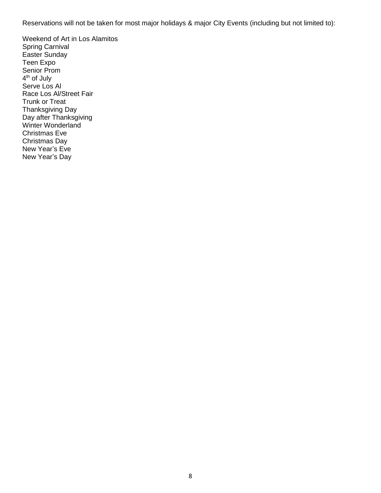Reservations will not be taken for most major holidays & major City Events (including but not limited to):

Weekend of Art in Los Alamitos Spring Carnival Easter Sunday Teen Expo Senior Prom 4<sup>th</sup> of July Serve Los Al Race Los Al/Street Fair Trunk or Treat Thanksgiving Day Day after Thanksgiving Winter Wonderland Christmas Eve Christmas Day New Year's Eve New Year's Day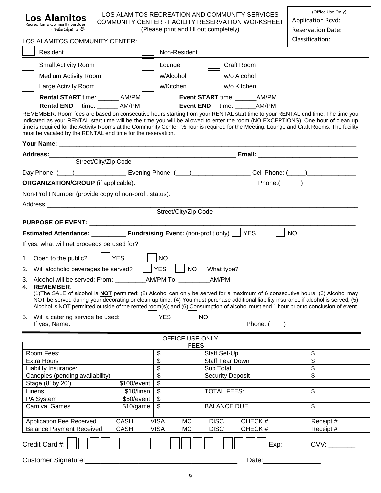| LOS ALAMITOS RECREATION AND COMMUNITY SERVICES<br>Los Alamitos<br>COMMUNITY CENTER - FACILITY RESERVATION WORKSHEET<br><b>Recreation &amp; Community Services</b><br>Creating Quality of Life                                                                                                                                                                                                                                                                                                                                                               | (Office Use Only)<br><b>Application Rcvd:</b> |                         |                         |  |           |  |  |  |
|-------------------------------------------------------------------------------------------------------------------------------------------------------------------------------------------------------------------------------------------------------------------------------------------------------------------------------------------------------------------------------------------------------------------------------------------------------------------------------------------------------------------------------------------------------------|-----------------------------------------------|-------------------------|-------------------------|--|-----------|--|--|--|
| (Please print and fill out completely)<br><b>Reservation Date:</b><br>Classification:<br>LOS ALAMITOS COMMUNITY CENTER:                                                                                                                                                                                                                                                                                                                                                                                                                                     |                                               |                         |                         |  |           |  |  |  |
| Resident                                                                                                                                                                                                                                                                                                                                                                                                                                                                                                                                                    |                                               | Non-Resident            |                         |  |           |  |  |  |
| Small Activity Room                                                                                                                                                                                                                                                                                                                                                                                                                                                                                                                                         |                                               | Lounge                  | Craft Room              |  |           |  |  |  |
| <b>Medium Activity Room</b>                                                                                                                                                                                                                                                                                                                                                                                                                                                                                                                                 |                                               | w/Alcohol               | w/o Alcohol             |  |           |  |  |  |
| Large Activity Room                                                                                                                                                                                                                                                                                                                                                                                                                                                                                                                                         |                                               | w/Kitchen               | w/o Kitchen             |  |           |  |  |  |
| Rental START time: _______ AM/PM<br>Event START time: _______AM/PM                                                                                                                                                                                                                                                                                                                                                                                                                                                                                          |                                               |                         |                         |  |           |  |  |  |
| <b>Rental END</b> time: AM/PM<br><b>Event END</b><br>time: ________AM/PM<br>REMEMBER: Room fees are based on consecutive hours starting from your RENTAL start time to your RENTAL end time. The time you<br>indicated as your RENTAL start time will be the time you will be allowed to enter the room (NO EXCEPTIONS). One hour of clean up<br>time is required for the Activity Rooms at the Community Center; 1/2 hour is required for the Meeting, Lounge and Craft Rooms. The facility<br>must be vacated by the RENTAL end time for the reservation. |                                               |                         |                         |  |           |  |  |  |
|                                                                                                                                                                                                                                                                                                                                                                                                                                                                                                                                                             |                                               |                         |                         |  |           |  |  |  |
|                                                                                                                                                                                                                                                                                                                                                                                                                                                                                                                                                             |                                               |                         |                         |  |           |  |  |  |
| Street/City/Zip Code<br>Day Phone: (120) 2020 2020 Evening Phone: (2002) 2020 2020 2021 Phone: (2002) 2020 2021 2021 2022 2021 2021 20                                                                                                                                                                                                                                                                                                                                                                                                                      |                                               |                         |                         |  |           |  |  |  |
|                                                                                                                                                                                                                                                                                                                                                                                                                                                                                                                                                             |                                               |                         |                         |  |           |  |  |  |
|                                                                                                                                                                                                                                                                                                                                                                                                                                                                                                                                                             |                                               |                         |                         |  |           |  |  |  |
|                                                                                                                                                                                                                                                                                                                                                                                                                                                                                                                                                             |                                               |                         |                         |  |           |  |  |  |
|                                                                                                                                                                                                                                                                                                                                                                                                                                                                                                                                                             |                                               | Street/City/Zip Code    |                         |  |           |  |  |  |
|                                                                                                                                                                                                                                                                                                                                                                                                                                                                                                                                                             |                                               |                         |                         |  |           |  |  |  |
| Estimated Attendance: ____________ Fundraising Event: (non-profit only)   YES                                                                                                                                                                                                                                                                                                                                                                                                                                                                               |                                               |                         |                         |  | <b>NO</b> |  |  |  |
|                                                                                                                                                                                                                                                                                                                                                                                                                                                                                                                                                             |                                               |                         |                         |  |           |  |  |  |
| 1. Open to the public?   YES   NO                                                                                                                                                                                                                                                                                                                                                                                                                                                                                                                           |                                               |                         |                         |  |           |  |  |  |
| Will alcoholic beverages be served?     YES<br>2.                                                                                                                                                                                                                                                                                                                                                                                                                                                                                                           |                                               | <b>NO</b>               |                         |  |           |  |  |  |
|                                                                                                                                                                                                                                                                                                                                                                                                                                                                                                                                                             |                                               |                         |                         |  |           |  |  |  |
| 3. Alcohol will be served: From: ___________AM/PM To: __________AM/PM<br><b>REMEMBER:</b><br>(1) The SALE of alcohol is <b>NOT</b> permitted; (2) Alcohol can only be served for a maximum of 6 consecutive hours; (3) Alcohol may<br>NOT be served during your decorating or clean up time; (4) You must purchase additional liability insurance if alcohol is served; (5)<br>Alcohol is NOT permitted outside of the rented room(s); and (6) Consumption of alcohol must end 1 hour prior to conclusion of event.                                         |                                               |                         |                         |  |           |  |  |  |
| 5. Will a catering service be used:                                                                                                                                                                                                                                                                                                                                                                                                                                                                                                                         | $\vert \vert$                                 | <b>YES</b><br>$\Box$ NO |                         |  |           |  |  |  |
|                                                                                                                                                                                                                                                                                                                                                                                                                                                                                                                                                             |                                               |                         |                         |  |           |  |  |  |
| OFFICE USE ONLY<br><b>FEES</b>                                                                                                                                                                                                                                                                                                                                                                                                                                                                                                                              |                                               |                         |                         |  |           |  |  |  |
| Room Fees:                                                                                                                                                                                                                                                                                                                                                                                                                                                                                                                                                  |                                               | \$                      | Staff Set-Up            |  | \$        |  |  |  |
| <b>Extra Hours</b>                                                                                                                                                                                                                                                                                                                                                                                                                                                                                                                                          |                                               | \$                      | <b>Staff Tear Down</b>  |  | \$        |  |  |  |
| Liability Insurance:                                                                                                                                                                                                                                                                                                                                                                                                                                                                                                                                        |                                               | \$                      | Sub Total:              |  | \$        |  |  |  |
| Canopies (pending availability)                                                                                                                                                                                                                                                                                                                                                                                                                                                                                                                             |                                               | \$                      | <b>Security Deposit</b> |  | \$        |  |  |  |
| Stage (8' by 20')                                                                                                                                                                                                                                                                                                                                                                                                                                                                                                                                           | \$100/event                                   | \$                      |                         |  |           |  |  |  |
| Linens<br>PA System                                                                                                                                                                                                                                                                                                                                                                                                                                                                                                                                         | \$10/linen<br>\$50/event                      | \$<br>\$                | <b>TOTAL FEES:</b>      |  | \$        |  |  |  |
| <b>Carnival Games</b>                                                                                                                                                                                                                                                                                                                                                                                                                                                                                                                                       | \$10/game                                     | \$                      | <b>BALANCE DUE</b>      |  | \$        |  |  |  |
|                                                                                                                                                                                                                                                                                                                                                                                                                                                                                                                                                             |                                               |                         |                         |  |           |  |  |  |
| <b>Application Fee Received</b>                                                                                                                                                                                                                                                                                                                                                                                                                                                                                                                             | <b>CASH</b>                                   | <b>VISA</b><br>MC       | CHECK#<br><b>DISC</b>   |  | Receipt # |  |  |  |
| <b>CASH</b><br><b>VISA</b><br><b>MC</b><br><b>DISC</b><br>CHECK#<br><b>Balance Payment Received</b><br>Receipt #                                                                                                                                                                                                                                                                                                                                                                                                                                            |                                               |                         |                         |  |           |  |  |  |
| Credit Card #:<br>CVV:                                                                                                                                                                                                                                                                                                                                                                                                                                                                                                                                      |                                               |                         |                         |  |           |  |  |  |
| Customer Signature:<br>Date:                                                                                                                                                                                                                                                                                                                                                                                                                                                                                                                                |                                               |                         |                         |  |           |  |  |  |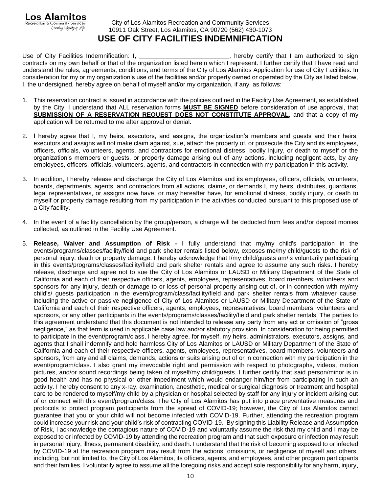# City of Los Alamitos Recreation and Community Services 10911 Oak Street, Los Alamitos, CA 90720 (562) 430-1073 **USE OF CITY FACILITIES INDEMNIFICATION**

**Los Alamitos Recreation & Community Services** 

Creating Quality of Life

Use of City Facilities Indemnification: I, \_\_\_\_\_\_\_\_\_\_\_\_\_\_\_\_\_\_\_\_\_\_\_\_\_\_\_, hereby certify that I am authorized to sign contracts on my own behalf or that of the organization listed herein which I represent. I further certify that I have read and understand the rules, agreements, conditions, and terms of the City of Los Alamitos Application for use of City Facilities. In consideration for my or my organization's use of the facilities and/or property owned or operated by the City as listed below, I, the undersigned, hereby agree on behalf of myself and/or my organization, if any, as follows:

- 1. This reservation contract is issued in accordance with the policies outlined in the Facility Use Agreement, as established by the City. I understand that ALL reservation forms **MUST BE SIGNED** before consideration of use approval, that **SUBMISSION OF A RESERVATION REQUEST DOES NOT CONSTITUTE APPROVAL**, and that a copy of my application will be returned to me after approval or denial.
- 2. I hereby agree that I, my heirs, executors, and assigns, the organization's members and guests and their heirs, executors and assigns will not make claim against, sue, attach the property of, or prosecute the City and its employees, officers, officials, volunteers, agents, and contractors for emotional distress, bodily injury, or death to myself or the organization's members or guests, or property damage arising out of any actions, including negligent acts, by any employees, officers, officials, volunteers, agents, and contractors in connection with my participation in this activity.
- 3. In addition, I hereby release and discharge the City of Los Alamitos and its employees, officers, officials, volunteers, boards, departments, agents, and contractors from all actions, claims, or demands I, my heirs, distributes, guardians, legal representatives, or assigns now have, or may hereafter have, for emotional distress, bodily injury, or death to myself or property damage resulting from my participation in the activities conducted pursuant to this proposed use of a City facility.
- 4. In the event of a facility cancellation by the group/person, a charge will be deducted from fees and/or deposit monies collected, as outlined in the Facility Use Agreement.
- 5. **Release, Waiver and Assumption of Risk -** I fully understand that my/my child's participation in the events/programs/classes/facility/field and park shelter rentals listed below, exposes me/my child/guests to the risk of personal injury, death or property damage. I hereby acknowledge that I/my child/guests am/is voluntarily participating in this events/programs/classes/facility/field and park shelter rentals and agree to assume any such risks. I hereby release, discharge and agree not to sue the City of Los Alamitos or LAUSD or Military Department of the State of California and each of their respective officers, agents, employees, representatives, board members, volunteers and sponsors for any injury, death or damage to or loss of personal property arising out of, or in connection with my/my child's/ guests participation in the event/program/class/facility/field and park shelter rentals from whatever cause, including the active or passive negligence of City of Los Alamitos or LAUSD or Military Department of the State of California and each of their respective officers, agents, employees, representatives, board members, volunteers and sponsors, or any other participants in the events/programs/classes/facility/field and park shelter rentals. The parties to this agreement understand that this document is not intended to release any party from any act or omission of "gross negligence," as that term is used in applicable case law and/or statutory provision. In consideration for being permitted to participate in the event/program/class, I hereby agree, for myself, my heirs, administrators, executors, assigns, and agents that I shall indemnify and hold harmless City of Los Alamitos or LAUSD or Military Department of the State of California and each of their respective officers, agents, employees, representatives, board members, volunteers and sponsors, from any and all claims, demands, actions or suits arising out of or in connection with my participation in the event/program/class. I also grant my irrevocable right and permission with respect to photographs, videos, motion pictures, and/or sound recordings being taken of myself/my child/guests. I further certify that said person/minor is in good health and has no physical or other impediment which would endanger him/her from participating in such an activity. I hereby consent to any x-ray, examination, anesthetic, medical or surgical diagnosis or treatment and hospital care to be rendered to myself/my child by a physician or hospital selected by staff for any injury or incident arising out of or connect with this event/program/class. The City of Los Alamitos has put into place preventative measures and protocols to protect program participants from the spread of COVID-19; however, the City of Los Alamitos cannot guarantee that you or your child will not become infected with COVID-19. Further, attending the recreation program could increase your risk and your child's risk of contracting COVID-19. By signing this Liability Release and Assumption of Risk, I acknowledge the contagious nature of COVID-19 and voluntarily assume the risk that my child and I may be exposed to or infected by COVID-19 by attending the recreation program and that such exposure or infection may result in personal injury, illness, permanent disability, and death. I understand that the risk of becoming exposed to or infected by COVID-19 at the recreation program may result from the actions, omissions, or negligence of myself and others, including, but not limited to, the City of Los Alamitos, its officers, agents, and employees, and other program participants and their families. I voluntarily agree to assume all the foregoing risks and accept sole responsibility for any harm, injury,